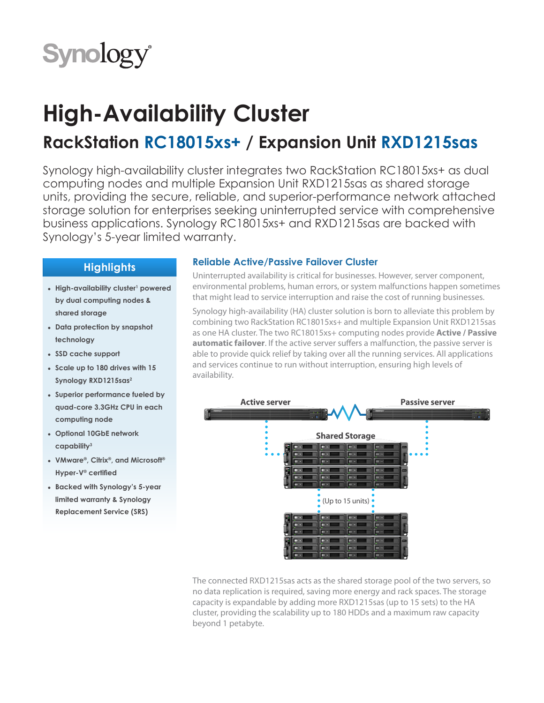

# **High-Availability Cluster**

## **RackStation RC18015xs+ / Expansion Unit RXD1215sas**

Synology high-availability cluster integrates two RackStation RC18015xs+ as dual computing nodes and multiple Expansion Unit RXD1215sas as shared storage units, providing the secure, reliable, and superior-performance network attached storage solution for enterprises seeking uninterrupted service with comprehensive business applications. Synology RC18015xs+ and RXD1215sas are backed with Synology's 5-year limited warranty.

## **Highlights**

- High-availability cluster<sup>1</sup> powered **by dual computing nodes & shared storage**
- **● Data protection by snapshot technology**
- **● SSD cache support**
- **● Scale up to 180 drives with 15 Synology RXD1215sas2**
- **● Superior performance fueled by quad-core 3.3GHz CPU in each computing node**
- **● Optional 10GbE network capability3**
- **● VMware®, Citrix®, and Microsoft® Hyper-V® certified**
- **● Backed with Synology's 5-year limited warranty & Synology Replacement Service (SRS)**

### **Reliable Active/Passive Failover Cluster**

Uninterrupted availability is critical for businesses. However, server component, environmental problems, human errors, or system malfunctions happen sometimes that might lead to service interruption and raise the cost of running businesses.

Synology high-availability (HA) cluster solution is born to alleviate this problem by combining two RackStation RC18015xs+ and multiple Expansion Unit RXD1215sas as one HA cluster. The two RC18015xs+ computing nodes provide **Active / Passive automatic failover**. If the active server suffers a malfunction, the passive server is able to provide quick relief by taking over all the running services. All applications and services continue to run without interruption, ensuring high levels of availability.



The connected RXD1215sas acts as the shared storage pool of the two servers, so no data replication is required, saving more energy and rack spaces. The storage capacity is expandable by adding more RXD1215sas (up to 15 sets) to the HA cluster, providing the scalability up to 180 HDDs and a maximum raw capacity beyond 1 petabyte.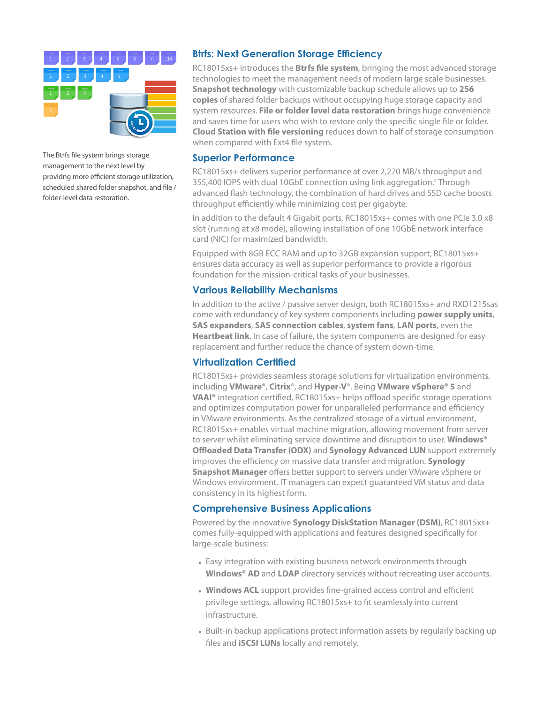

The Btrfs file system brings storage management to the next level by providng more efficient storage utilization, scheduled shared folder snapshot, and file / folder-level data restoration.

#### **Btrfs: Next Generation Storage Efficiency**

RC18015xs+ introduces the **Btrfs file system**, bringing the most advanced storage technologies to meet the management needs of modern large scale businesses. **Snapshot technology** with customizable backup schedule allows up to **256 copies** of shared folder backups without occupying huge storage capacity and system resources. **File or folder level data restoration** brings huge convenience and saves time for users who wish to restore only the specific single file or folder. **Cloud Station with file versioning** reduces down to half of storage consumption when compared with Ext4 file system.

#### **Superior Performance**

RC18015xs+ delivers superior performance at over 2,270 MB/s throughput and 355,400 IOPS with dual 10GbE connection using link aggregation.<sup>4</sup> Through advanced flash technology, the combination of hard drives and SSD cache boosts throughput efficiently while minimizing cost per gigabyte.

In addition to the default 4 Gigabit ports, RC18015xs+ comes with one PCIe 3.0 x8 slot (running at x8 mode), allowing installation of one 10GbE network interface card (NIC) for maximized bandwidth.

Equipped with 8GB ECC RAM and up to 32GB expansion support, RC18015xs+ ensures data accuracy as well as superior performance to provide a rigorous foundation for the mission-critical tasks of your businesses.

#### **Various Reliability Mechanisms**

In addition to the active / passive server design, both RC18015xs+ and RXD1215sas come with redundancy of key system components including **power supply units**, **SAS expanders**, **SAS connection cables**, **system fans**, **LAN ports**, even the **Heartbeat link**. In case of failure, the system components are designed for easy replacement and further reduce the chance of system down-time.

#### **Virtualization Certified**

RC18015xs+ provides seamless storage solutions for virtualization environments, including **VMware**®, **Citrix**®, and **Hyper-V**®. Being **VMware vSphere® 5** and **VAAI®** integration certified, RC18015xs+ helps offload specific storage operations and optimizes computation power for unparalleled performance and efficiency in VMware environments. As the centralized storage of a virtual environment, RC18015xs+ enables virtual machine migration, allowing movement from server to server whilst eliminating service downtime and disruption to user. **Windows® Offloaded Data Transfer (ODX)** and **Synology Advanced LUN** support extremely improves the efficiency on massive data transfer and migration. **Synology Snapshot Manager** offers better support to servers under VMware vSphere or Windows environment. IT managers can expect guaranteed VM status and data consistency in its highest form.

#### **Comprehensive Business Applications**

Powered by the innovative **Synology DiskStation Manager (DSM)**, RC18015xs+ comes fully-equipped with applications and features designed specifically for large-scale business:

- **●** Easy integration with existing business network environments through **Windows® AD** and **LDAP** directory services without recreating user accounts.
- **● Windows ACL** support provides fine-grained access control and efficient privilege settings, allowing RC18015xs+ to fit seamlessly into current infrastructure.
- **●** Built-in backup applications protect information assets by regularly backing up files and **iSCSI LUNs** locally and remotely.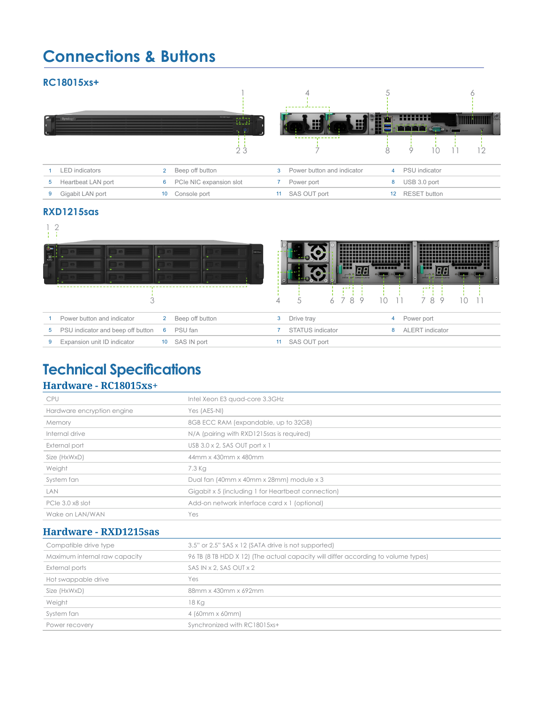## **Connections & Buttons**

#### **RC18015xs+**



### **RXD1215sas**

| <b>Ta</b> lle |                                                   | keass           |    |                  |   | all pr |   |          | <b>TIMES 11,</b> | all or                 | <b>THEFT IT</b> |
|---------------|---------------------------------------------------|-----------------|----|------------------|---|--------|---|----------|------------------|------------------------|-----------------|
|               |                                                   |                 |    |                  |   | ---    |   |          |                  |                        |                 |
|               |                                                   |                 |    | 5                | 6 | 8      | 9 | $1 \cap$ |                  | 78<br>9                |                 |
|               | Power button and indicator<br>$\mathbf{2}$        | Beep off button | 3  | Drive tray       |   |        |   |          | 4                | Power port             |                 |
| 5             | PSU indicator and beep off button<br>PSU fan<br>6 |                 |    | STATUS indicator |   |        |   |          | 8                | <b>ALERT</b> indicator |                 |
| 9             | Expansion unit ID indicator<br>SAS IN port<br>10  |                 | 11 | SAS OUT port     |   |        |   |          |                  |                        |                 |

## **Technical Specifications**

#### **Hardware - RC18015xs+**

| <b>CPU</b>                 | Intel Xeon E3 quad-core 3.3GHz                     |
|----------------------------|----------------------------------------------------|
| Hardware encryption engine | Yes (AES-NI)                                       |
| Memory                     | 8GB ECC RAM (expandable, up to 32GB)               |
| Internal drive             | N/A (pairing with RXD1215sas is required)          |
| External port              | USB $3.0 \times 2$ , SAS OUT port $\times 1$       |
| Size (HxWxD)               | 44mm x 430mm x 480mm                               |
| Weight                     | 7.3 Kg                                             |
| System fan                 | Dual fan (40mm x 40mm x 28mm) module x 3           |
| <b>LAN</b>                 | Gigabit x 5 (including 1 for Heartbeat connection) |
| PCIe 3.0 x8 slot           | Add-on network interface card x 1 (optional)       |
| Wake on LAN/WAN            | Yes                                                |
|                            |                                                    |

## **Hardware - RXD1215sas**

| Compatible drive type         | 3.5" or 2.5" SAS x 12 (SATA drive is not supported)                               |  |  |  |  |
|-------------------------------|-----------------------------------------------------------------------------------|--|--|--|--|
| Maximum internal raw capacity | 96 TB (8 TB HDD X 12) (The actual capacity will differ according to volume types) |  |  |  |  |
| External ports                | SAS IN x 2, SAS OUT $\times$ 2                                                    |  |  |  |  |
| Hot swappable drive           | Yes                                                                               |  |  |  |  |
| Size (HxWxD)                  | 88mm x 430mm x 692mm                                                              |  |  |  |  |
| Weight                        | 18 Kg                                                                             |  |  |  |  |
| System fan                    | 4 (60mm x 60mm)                                                                   |  |  |  |  |
| Power recovery                | Synchronized with RC18015xs+                                                      |  |  |  |  |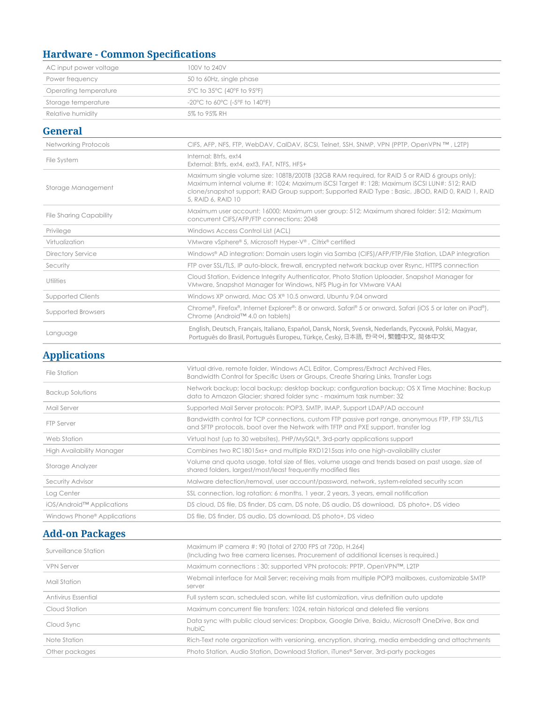## **Hardware - Common Specifications**

| AC input power voltage         | 100V to 240V                                                                                                                                                                                                                                                                                                               |
|--------------------------------|----------------------------------------------------------------------------------------------------------------------------------------------------------------------------------------------------------------------------------------------------------------------------------------------------------------------------|
| Power frequency                | 50 to 60Hz, single phase                                                                                                                                                                                                                                                                                                   |
| Operating temperature          | 5°C to 35°C (40°F to 95°F)                                                                                                                                                                                                                                                                                                 |
| Storage temperature            | -20°C to 60°C (-5°F to 140°F)                                                                                                                                                                                                                                                                                              |
| Relative humidity              | 5% to 95% RH                                                                                                                                                                                                                                                                                                               |
| <b>General</b>                 |                                                                                                                                                                                                                                                                                                                            |
| <b>Networking Protocols</b>    | CIFS, AFP, NFS, FTP, WebDAV, CalDAV, iSCSI, Telnet, SSH, SNMP, VPN (PPTP, OpenVPN TM, L2TP)                                                                                                                                                                                                                                |
| File System                    | Internal: Btrfs, ext4<br>External: Btrfs, ext4, ext3, FAT, NTFS, HFS+                                                                                                                                                                                                                                                      |
| Storage Management             | Maximum single volume size: 108TB/200TB (32GB RAM required, for RAID 5 or RAID 6 groups only);<br>Maximum internal volume #: 1024; Maximum iSCSI Target #: 128; Maximum iSCSI LUN#: 512; RAID<br>clone/snapshot support; RAID Group support; Supported RAID Type : Basic, JBOD, RAID 0, RAID 1, RAID<br>5, RAID 6, RAID 10 |
| <b>File Sharing Capability</b> | Maximum user account: 16000; Maximum user group: 512; Maximum shared folder: 512; Maximum<br>concurrent CIFS/AFP/FTP connections: 2048                                                                                                                                                                                     |
| Privilege                      | Windows Access Control List (ACL)                                                                                                                                                                                                                                                                                          |
| Virtualization                 | VMware vSphere® 5, Microsoft Hyper-V®, Citrix® certified                                                                                                                                                                                                                                                                   |
| <b>Directory Service</b>       | Windows® AD integration: Domain users login via Samba (CIFS)/AFP/FTP/File Station, LDAP integration                                                                                                                                                                                                                        |
| Security                       | FTP over SSL/TLS, IP auto-block, firewall, encrypted network backup over Rsync, HTTPS connection                                                                                                                                                                                                                           |
| Utilities                      | Cloud Station, Evidence Integrity Authenticator, Photo Station Uploader, Snapshot Manager for<br>VMware, Snapshot Manager for Windows, NFS Plug-in for VMware VAAI                                                                                                                                                         |
| <b>Supported Clients</b>       | Windows XP onward, Mac OS X® 10.5 onward, Ubuntu 9.04 onward                                                                                                                                                                                                                                                               |
| <b>Supported Browsers</b>      | Chrome®, Firefox®, Internet Explorer®: 8 or onward, Safari® 5 or onward, Safari (iOS 5 or later on iPad®),<br>Chrome (Android™ 4.0 on tablets)                                                                                                                                                                             |
| Language                       | English, Deutsch, Français, Italiano, Español, Dansk, Norsk, Svensk, Nederlands, Русский, Polski, Magyar,<br>Português do Brasil, Português Europeu, Türkce, Český, 日本語, 한국어, 繁體中文, 简体中文                                                                                                                                   |

### **Applications**

| File Station                            | Virtual drive, remote folder, Windows ACL Editor, Compress/Extract Archived Files,<br>Bandwidth Control for Specific Users or Groups, Create Sharing Links, Transfer Logs             |  |  |  |  |  |
|-----------------------------------------|---------------------------------------------------------------------------------------------------------------------------------------------------------------------------------------|--|--|--|--|--|
| <b>Backup Solutions</b>                 | Network backup; local backup; desktop backup; configuration backup; OS X Time Machine; Backup<br>data to Amazon Glacier; shared folder sync - maximum task number: 32                 |  |  |  |  |  |
| Mail Server                             | Supported Mail Server protocols: POP3, SMTP, IMAP, Support LDAP/AD account                                                                                                            |  |  |  |  |  |
| FTP Server                              | Bandwidth control for TCP connections, custom FTP passive port range, anonymous FTP, FTP SSL/TLS<br>and SFTP protocols, boot over the Network with TFTP and PXE support, transfer log |  |  |  |  |  |
| Web Station                             | Virtual host (up to 30 websites), PHP/MySQL®, 3rd-party applications support                                                                                                          |  |  |  |  |  |
| High Availability Manager               | Combines two RC18015xs+ and multiple RXD1215sas into one high-availability cluster                                                                                                    |  |  |  |  |  |
| Storage Analyzer                        | Volume and quota usage, total size of files, volume usage and trends based on past usage, size of<br>shared folders, largest/most/least frequently modified files                     |  |  |  |  |  |
| Security Advisor                        | Malware detection/removal, user account/password, network, system-related security scan                                                                                               |  |  |  |  |  |
| Log Center                              | SSL connection, log rotation: 6 months, 1 year, 2 years, 3 years, email notification                                                                                                  |  |  |  |  |  |
| iOS/Android™ Applications               | DS cloud, DS file, DS finder, DS cam, DS note, DS audio, DS download, DS photo+, DS video                                                                                             |  |  |  |  |  |
| Windows Phone <sup>®</sup> Applications | DS file, DS finder, DS audio, DS download, DS photo+, DS video                                                                                                                        |  |  |  |  |  |

## **Add-on Packages**

| Surveillance Station | Maximum IP camera #: 90 (total of 2700 FPS at 720p, H.264)<br>(Including two free camera licenses, Procurement of additional licenses is required.) |
|----------------------|-----------------------------------------------------------------------------------------------------------------------------------------------------|
| <b>VPN Server</b>    | Maximum connections : 30; supported VPN protocols: PPTP, OpenVPN™, L2TP                                                                             |
| Mail Station         | Webmail interface for Mail Server; receiving mails from multiple POP3 mailboxes, customizable SMTP<br>server                                        |
| Antivirus Essential  | Full system scan, scheduled scan, white list customization, virus definition auto update                                                            |
| Cloud Station        | Maximum concurrent file transfers: 1024, retain historical and deleted file versions                                                                |
| Cloud Sync           | Data sync with public cloud services: Dropbox, Google Drive, Baidu, Microsoft OneDrive, Box and<br>hubiC                                            |
| Note Station         | Rich-Text note organization with versioning, encryption, sharing, media embedding and attachments                                                   |
| Other packages       | Photo Station, Audio Station, Download Station, iTunes® Server, 3rd-party packages                                                                  |